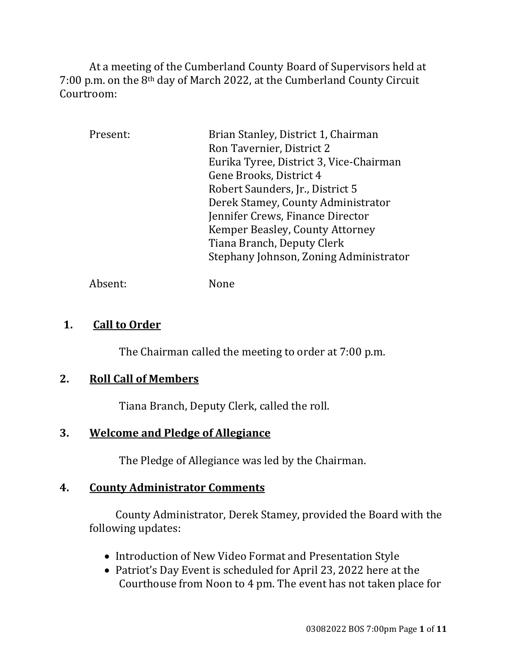At a meeting of the Cumberland County Board of Supervisors held at 7:00 p.m. on the 8th day of March 2022, at the Cumberland County Circuit Courtroom:

| Present: | Brian Stanley, District 1, Chairman     |
|----------|-----------------------------------------|
|          | Ron Tavernier, District 2               |
|          | Eurika Tyree, District 3, Vice-Chairman |
|          | Gene Brooks, District 4                 |
|          | Robert Saunders, Jr., District 5        |
|          | Derek Stamey, County Administrator      |
|          | Jennifer Crews, Finance Director        |
|          | Kemper Beasley, County Attorney         |
|          | Tiana Branch, Deputy Clerk              |
|          | Stephany Johnson, Zoning Administrator  |
|          |                                         |

Absent: None

### **1. Call to Order**

The Chairman called the meeting to order at 7:00 p.m.

## **2. Roll Call of Members**

Tiana Branch, Deputy Clerk, called the roll.

## **3. Welcome and Pledge of Allegiance**

The Pledge of Allegiance was led by the Chairman.

## **4. County Administrator Comments**

 County Administrator, Derek Stamey, provided the Board with the following updates:

- Introduction of New Video Format and Presentation Style
- Patriot's Day Event is scheduled for April 23, 2022 here at the Courthouse from Noon to 4 pm. The event has not taken place for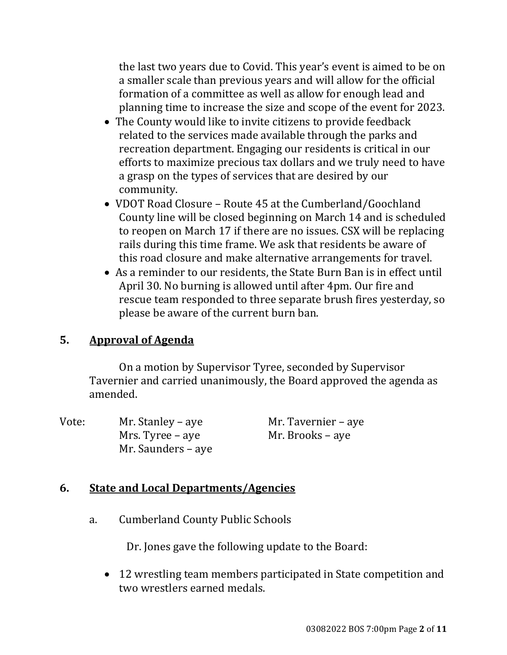the last two years due to Covid. This year's event is aimed to be on a smaller scale than previous years and will allow for the official formation of a committee as well as allow for enough lead and planning time to increase the size and scope of the event for 2023.

- The County would like to invite citizens to provide feedback related to the services made available through the parks and recreation department. Engaging our residents is critical in our efforts to maximize precious tax dollars and we truly need to have a grasp on the types of services that are desired by our community.
- VDOT Road Closure Route 45 at the Cumberland/Goochland County line will be closed beginning on March 14 and is scheduled to reopen on March 17 if there are no issues. CSX will be replacing rails during this time frame. We ask that residents be aware of this road closure and make alternative arrangements for travel.
- As a reminder to our residents, the State Burn Ban is in effect until April 30. No burning is allowed until after 4pm. Our fire and rescue team responded to three separate brush fires yesterday, so please be aware of the current burn ban.

## **5. Approval of Agenda**

On a motion by Supervisor Tyree, seconded by Supervisor Tavernier and carried unanimously, the Board approved the agenda as amended.

Vote: Mr. Stanley – aye Mr. Tavernier – aye Mrs. Tyree – aye Mr. Brooks – aye Mr. Saunders – aye

#### **6. State and Local Departments/Agencies**

a. Cumberland County Public Schools

Dr. Jones gave the following update to the Board:

 12 wrestling team members participated in State competition and two wrestlers earned medals.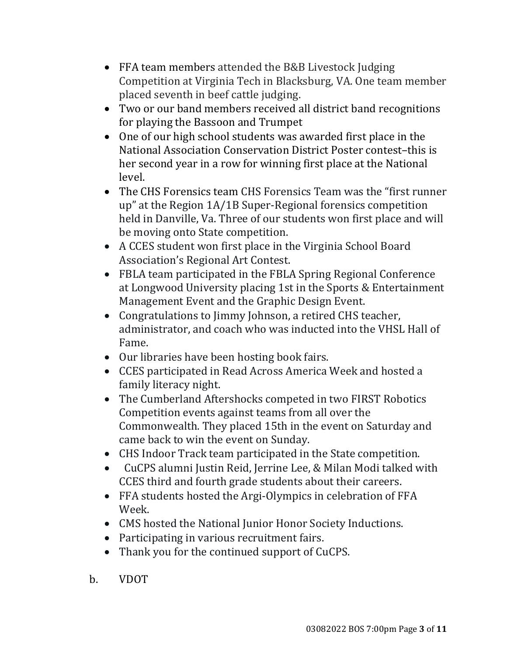- FFA team members attended the B&B Livestock Judging Competition at Virginia Tech in Blacksburg, VA. One team member placed seventh in beef cattle judging.
- Two or our band members received all district band recognitions for playing the Bassoon and Trumpet
- One of our high school students was awarded first place in the National Association Conservation District Poster contest–this is her second year in a row for winning first place at the National level.
- The CHS Forensics team CHS Forensics Team was the "first runner up" at the Region 1A/1B Super-Regional forensics competition held in Danville, Va. Three of our students won first place and will be moving onto State competition.
- A CCES student won first place in the Virginia School Board Association's Regional Art Contest.
- FBLA team participated in the FBLA Spring Regional Conference at Longwood University placing 1st in the Sports & Entertainment Management Event and the Graphic Design Event.
- Congratulations to Jimmy Johnson, a retired CHS teacher, administrator, and coach who was inducted into the VHSL Hall of Fame.
- Our libraries have been hosting book fairs.
- CCES participated in Read Across America Week and hosted a family literacy night.
- The Cumberland Aftershocks competed in two FIRST Robotics Competition events against teams from all over the Commonwealth. They placed 15th in the event on Saturday and came back to win the event on Sunday.
- CHS Indoor Track team participated in the State competition.
- CuCPS alumni Justin Reid, Jerrine Lee, & Milan Modi talked with CCES third and fourth grade students about their careers.
- FFA students hosted the Argi-Olympics in celebration of FFA Week.
- CMS hosted the National Junior Honor Society Inductions.
- Participating in various recruitment fairs.
- Thank you for the continued support of CuCPS.
- b. VDOT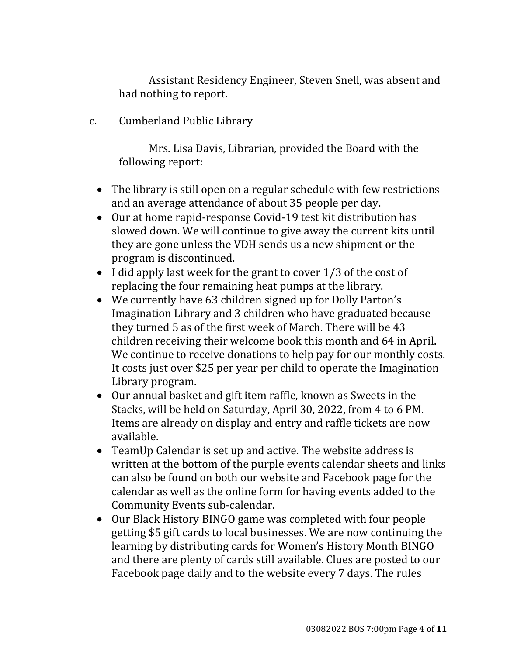Assistant Residency Engineer, Steven Snell, was absent and had nothing to report.

c. Cumberland Public Library

Mrs. Lisa Davis, Librarian, provided the Board with the following report:

- The library is still open on a regular schedule with few restrictions and an average attendance of about 35 people per day.
- Our at home rapid-response Covid-19 test kit distribution has slowed down. We will continue to give away the current kits until they are gone unless the VDH sends us a new shipment or the program is discontinued.
- $\bullet$  I did apply last week for the grant to cover 1/3 of the cost of replacing the four remaining heat pumps at the library.
- We currently have 63 children signed up for Dolly Parton's Imagination Library and 3 children who have graduated because they turned 5 as of the first week of March. There will be 43 children receiving their welcome book this month and 64 in April. We continue to receive donations to help pay for our monthly costs. It costs just over \$25 per year per child to operate the Imagination Library program.
- Our annual basket and gift item raffle, known as Sweets in the Stacks, will be held on Saturday, April 30, 2022, from 4 to 6 PM. Items are already on display and entry and raffle tickets are now available.
- TeamUp Calendar is set up and active. The website address is written at the bottom of the purple events calendar sheets and links can also be found on both our website and Facebook page for the calendar as well as the online form for having events added to the Community Events sub-calendar.
- Our Black History BINGO game was completed with four people getting \$5 gift cards to local businesses. We are now continuing the learning by distributing cards for Women's History Month BINGO and there are plenty of cards still available. Clues are posted to our Facebook page daily and to the website every 7 days. The rules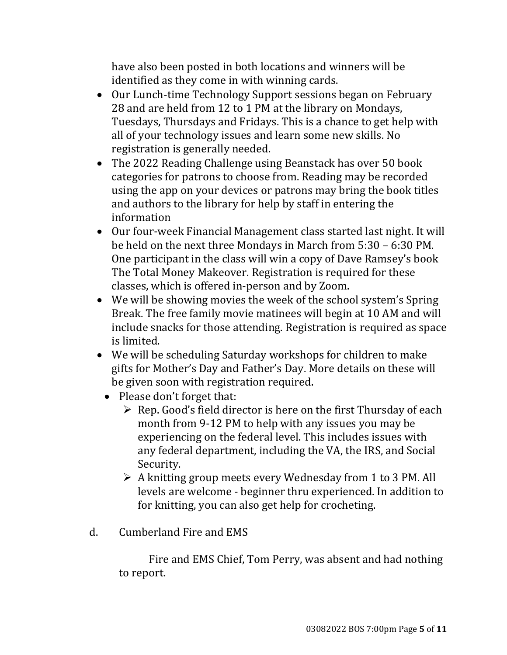have also been posted in both locations and winners will be identified as they come in with winning cards.

- Our Lunch-time Technology Support sessions began on February 28 and are held from 12 to 1 PM at the library on Mondays, Tuesdays, Thursdays and Fridays. This is a chance to get help with all of your technology issues and learn some new skills. No registration is generally needed.
- The 2022 Reading Challenge using Beanstack has over 50 book categories for patrons to choose from. Reading may be recorded using the app on your devices or patrons may bring the book titles and authors to the library for help by staff in entering the information
- Our four-week Financial Management class started last night. It will be held on the next three Mondays in March from 5:30 – 6:30 PM. One participant in the class will win a copy of Dave Ramsey's book The Total Money Makeover. Registration is required for these classes, which is offered in-person and by Zoom.
- We will be showing movies the week of the school system's Spring Break. The free family movie matinees will begin at 10 AM and will include snacks for those attending. Registration is required as space is limited.
- We will be scheduling Saturday workshops for children to make gifts for Mother's Day and Father's Day. More details on these will be given soon with registration required.
	- Please don't forget that:
		- $\triangleright$  Rep. Good's field director is here on the first Thursday of each month from 9-12 PM to help with any issues you may be experiencing on the federal level. This includes issues with any federal department, including the VA, the IRS, and Social Security.
		- $\triangleright$  A knitting group meets every Wednesday from 1 to 3 PM. All levels are welcome - beginner thru experienced. In addition to for knitting, you can also get help for crocheting.
- d. Cumberland Fire and EMS

Fire and EMS Chief, Tom Perry, was absent and had nothing to report.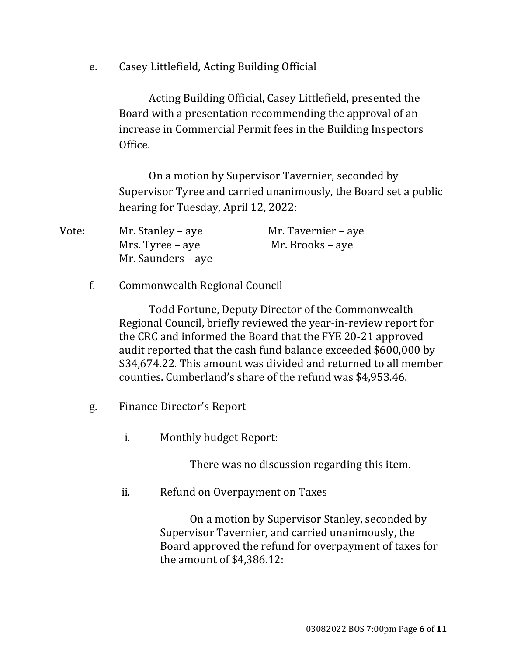e. Casey Littlefield, Acting Building Official

Acting Building Official, Casey Littlefield, presented the Board with a presentation recommending the approval of an increase in Commercial Permit fees in the Building Inspectors Office.

On a motion by Supervisor Tavernier, seconded by Supervisor Tyree and carried unanimously, the Board set a public hearing for Tuesday, April 12, 2022:

| Vote: | Mr. Stanley – aye  | Mr. Tavernier – aye |
|-------|--------------------|---------------------|
|       | Mrs. Tyree – aye   | Mr. Brooks – aye    |
|       | Mr. Saunders – aye |                     |

#### f. Commonwealth Regional Council

Todd Fortune, Deputy Director of the Commonwealth Regional Council, briefly reviewed the year-in-review report for the CRC and informed the Board that the FYE 20-21 approved audit reported that the cash fund balance exceeded \$600,000 by \$34,674.22. This amount was divided and returned to all member counties. Cumberland's share of the refund was \$4,953.46.

- g. Finance Director's Report
	- i. Monthly budget Report:

There was no discussion regarding this item.

ii. Refund on Overpayment on Taxes

On a motion by Supervisor Stanley, seconded by Supervisor Tavernier, and carried unanimously, the Board approved the refund for overpayment of taxes for the amount of \$4,386.12: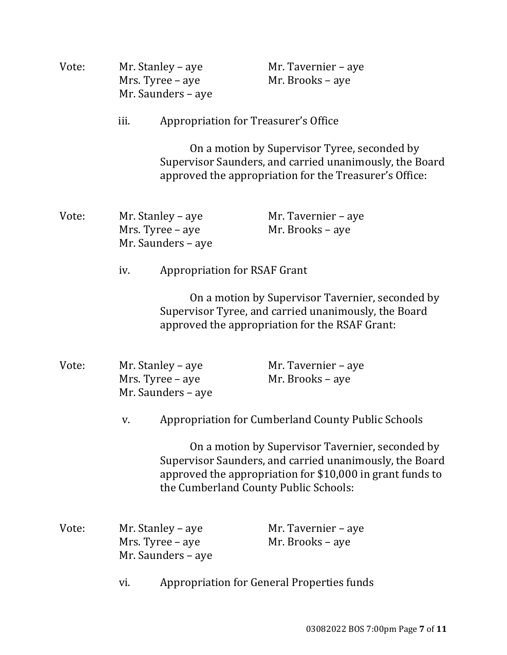| Vote: |      | Mr. Stanley – aye<br>Mrs. Tyree - aye<br>Mr. Saunders - aye | Mr. Tavernier - aye<br>Mr. Brooks - aye                                                                                                                                                                           |  |
|-------|------|-------------------------------------------------------------|-------------------------------------------------------------------------------------------------------------------------------------------------------------------------------------------------------------------|--|
|       | iii. | <b>Appropriation for Treasurer's Office</b>                 |                                                                                                                                                                                                                   |  |
|       |      |                                                             | On a motion by Supervisor Tyree, seconded by<br>Supervisor Saunders, and carried unanimously, the Board<br>approved the appropriation for the Treasurer's Office:                                                 |  |
| Vote: |      | Mr. Stanley – aye<br>Mrs. Tyree - aye<br>Mr. Saunders - aye | Mr. Tavernier - aye<br>Mr. Brooks - aye                                                                                                                                                                           |  |
|       | iv.  | <b>Appropriation for RSAF Grant</b>                         |                                                                                                                                                                                                                   |  |
|       |      |                                                             | On a motion by Supervisor Tavernier, seconded by<br>Supervisor Tyree, and carried unanimously, the Board<br>approved the appropriation for the RSAF Grant:                                                        |  |
| Vote: |      | Mr. Stanley – aye<br>Mrs. Tyree - aye<br>Mr. Saunders - aye | Mr. Tavernier - aye<br>Mr. Brooks - aye                                                                                                                                                                           |  |
|       | V.   |                                                             | Appropriation for Cumberland County Public Schools                                                                                                                                                                |  |
|       |      |                                                             | On a motion by Supervisor Tavernier, seconded by<br>Supervisor Saunders, and carried unanimously, the Board<br>approved the appropriation for \$10,000 in grant funds to<br>the Cumberland County Public Schools: |  |
| Vote: |      | Mr. Stanley – aye<br>Mrs. Tyree - aye<br>Mr. Saunders - aye | Mr. Tavernier - aye<br>Mr. Brooks - aye                                                                                                                                                                           |  |
|       | vi.  |                                                             | <b>Appropriation for General Properties funds</b>                                                                                                                                                                 |  |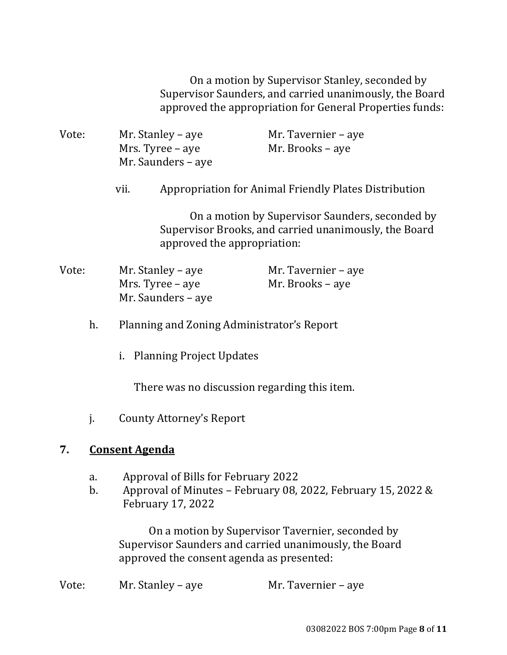On a motion by Supervisor Stanley, seconded by Supervisor Saunders, and carried unanimously, the Board approved the appropriation for General Properties funds:

Vote: Mr. Stanley – aye Mr. Tavernier – aye Mrs. Tyree – aye Mr. Brooks – aye Mr. Saunders – aye vii. Appropriation for Animal Friendly Plates Distribution On a motion by Supervisor Saunders, seconded by Supervisor Brooks, and carried unanimously, the Board approved the appropriation: Vote: Mr. Stanley – aye Mr. Tavernier – aye Mrs. Tyree – aye Mr. Brooks – aye Mr. Saunders – aye h. Planning and Zoning Administrator's Report i. Planning Project Updates There was no discussion regarding this item. j. County Attorney's Report **7. Consent Agenda** a. Approval of Bills for February 2022 b. Approval of Minutes – February 08, 2022, February 15, 2022 & February 17, 2022

On a motion by Supervisor Tavernier, seconded by Supervisor Saunders and carried unanimously, the Board approved the consent agenda as presented:

Vote: Mr. Stanley – aye Mr. Tavernier – aye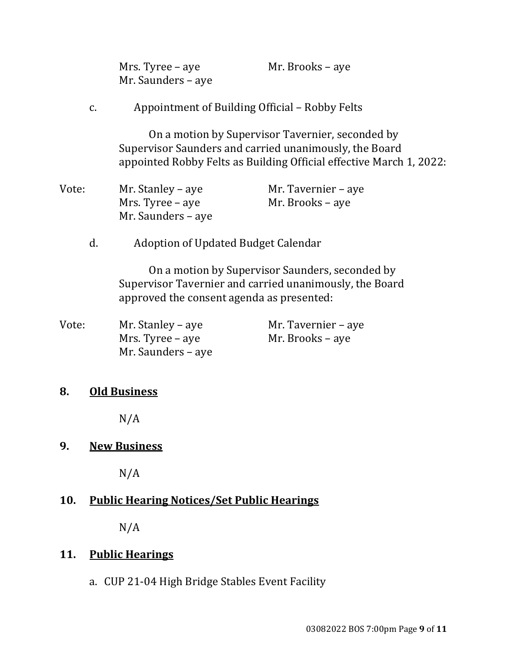| Mrs. Tyree – aye   | Mr. Brooks – aye |
|--------------------|------------------|
| Mr. Saunders – aye |                  |

c. Appointment of Building Official – Robby Felts

On a motion by Supervisor Tavernier, seconded by Supervisor Saunders and carried unanimously, the Board appointed Robby Felts as Building Official effective March 1, 2022:

| Vote: | Mr. Stanley – aye  | Mr. Tavernier – aye |
|-------|--------------------|---------------------|
|       | Mrs. Tyree – aye   | Mr. Brooks – aye    |
|       | Mr. Saunders – aye |                     |

d. Adoption of Updated Budget Calendar

On a motion by Supervisor Saunders, seconded by Supervisor Tavernier and carried unanimously, the Board approved the consent agenda as presented:

Vote: Mr. Stanley – aye Mr. Tavernier – aye Mrs. Tyree – aye Mr. Brooks – aye Mr. Saunders – aye

#### **8. Old Business**

N/A

#### **9. New Business**

N/A

#### **10. Public Hearing Notices/Set Public Hearings**

N/A

#### **11. Public Hearings**

a. CUP 21-04 High Bridge Stables Event Facility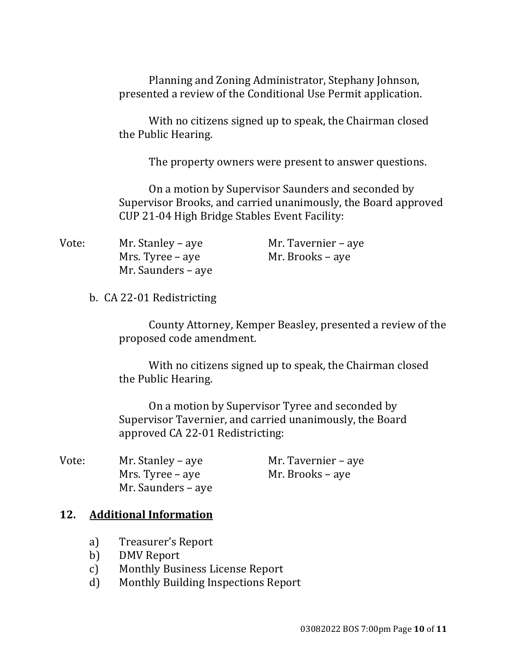Planning and Zoning Administrator, Stephany Johnson, presented a review of the Conditional Use Permit application.

With no citizens signed up to speak, the Chairman closed the Public Hearing.

The property owners were present to answer questions.

On a motion by Supervisor Saunders and seconded by Supervisor Brooks, and carried unanimously, the Board approved CUP 21-04 High Bridge Stables Event Facility:

| Vote: | Mr. Stanley – aye  | Mr. Tavernier – aye |
|-------|--------------------|---------------------|
|       | Mrs. Tyree – aye   | Mr. Brooks – aye    |
|       | Mr. Saunders – aye |                     |

b. CA 22-01 Redistricting

County Attorney, Kemper Beasley, presented a review of the proposed code amendment.

With no citizens signed up to speak, the Chairman closed the Public Hearing.

On a motion by Supervisor Tyree and seconded by Supervisor Tavernier, and carried unanimously, the Board approved CA 22-01 Redistricting:

| Vote: | Mr. Stanley – aye  | Mr. Tavernier – aye |
|-------|--------------------|---------------------|
|       | Mrs. Tyree – aye   | Mr. Brooks – aye    |
|       | Mr. Saunders – aye |                     |

#### **12. Additional Information**

- a) Treasurer's Report
- b) DMV Report
- c) Monthly Business License Report
- d) Monthly Building Inspections Report